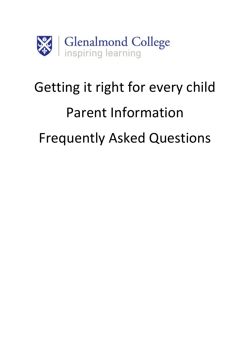

# Getting it right for every child Parent Information Frequently Asked Questions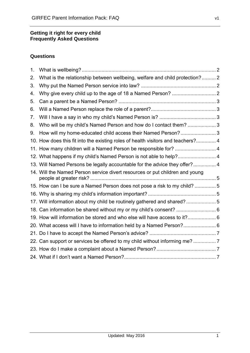#### **Getting it right for every child Frequently Asked Questions**

# **Questions**

| 1 <sub>1</sub> |                                                                                  |  |
|----------------|----------------------------------------------------------------------------------|--|
| 2.             | What is the relationship between wellbeing, welfare and child protection? 2      |  |
| 3.             |                                                                                  |  |
| 4.             |                                                                                  |  |
| 5.             |                                                                                  |  |
| 6.             |                                                                                  |  |
| 7.             |                                                                                  |  |
| 8.             | Who will be my child's Named Person and how do I contact them?  3                |  |
| 9.             | How will my home-educated child access their Named Person? 3                     |  |
|                | 10. How does this fit into the existing roles of health visitors and teachers? 4 |  |
|                | 11. How many children will a Named Person be responsible for?  4                 |  |
|                | 12. What happens if my child's Named Person is not able to help? 4               |  |
|                | 13. Will Named Persons be legally accountable for the advice they offer? 4       |  |
|                | 14. Will the Named Person service divert resources or put children and young     |  |
|                | 15. How can I be sure a Named Person does not pose a risk to my child?  5        |  |
|                |                                                                                  |  |
|                | 17. Will information about my child be routinely gathered and shared? 5          |  |
|                | 18. Can information be shared without my or my child's consent?  6               |  |
|                | 19. How will information be stored and who else will have access to it? 6        |  |
|                | 20. What access will I have to information held by a Named Person? 6             |  |
|                |                                                                                  |  |
|                | 22. Can support or services be offered to my child without informing me?  7      |  |
|                |                                                                                  |  |
|                |                                                                                  |  |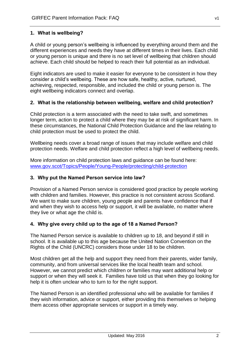# <span id="page-2-0"></span>**1. What is wellbeing?**

A child or young person's wellbeing is influenced by everything around them and the different experiences and needs they have at different times in their lives. Each child or young person is unique and there is no set level of wellbeing that children should achieve. Each child should be helped to reach their full potential as an individual.

Eight indicators are used to make it easier for everyone to be consistent in how they consider a child's wellbeing. These are how safe, healthy, active, nurtured, achieving, respected, responsible, and included the child or young person is. The eight wellbeing indicators connect and overlap.

#### <span id="page-2-1"></span>**2. What is the relationship between wellbeing, welfare and child protection?**

Child protection is a term associated with the need to take swift, and sometimes longer term, action to protect a child where they may be at risk of significant harm. In these circumstances, the National Child Protection Guidance and the law relating to child protection must be used to protect the child.

Wellbeing needs cover a broad range of issues that may include welfare and child protection needs. Welfare and child protection reflect a high level of wellbeing needs.

More information on child protection laws and guidance can be found here: [www.gov.scot/Topics/People/Young-People/protecting/child-protection](http://www.gov.scot/Topics/People/Young-People/protecting/child-protection)

#### <span id="page-2-2"></span>**3. Why put the Named Person service into law?**

Provision of a Named Person service is considered good practice by people working with children and families. However, this practice is not consistent across Scotland. We want to make sure children, young people and parents have confidence that if and when they wish to access help or support, it will be available, no matter where they live or what age the child is.

#### <span id="page-2-3"></span>**4. Why give every child up to the age of 18 a Named Person?**

The Named Person service is available to children up to 18, and beyond if still in school. It is available up to this age because the United Nation Convention on the Rights of the Child (UNCRC) considers those under 18 to be children.

Most children get all the help and support they need from their parents, wider family, community, and from universal services like the local health team and school. However, we cannot predict which children or families may want additional help or support or when they will seek it. Families have told us that when they go looking for help it is often unclear who to turn to for the right support.

The Named Person is an identified professional who will be available for families if they wish information, advice or support, either providing this themselves or helping them access other appropriate services or support in a timely way.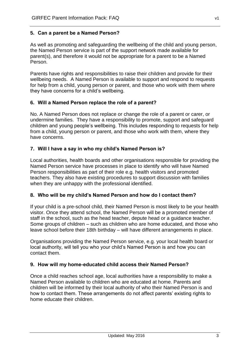# <span id="page-3-0"></span>**5. Can a parent be a Named Person?**

As well as promoting and safeguarding the wellbeing of the child and young person, the Named Person service is part of the support network made available for parent(s), and therefore it would not be appropriate for a parent to be a Named Person.

Parents have rights and responsibilities to raise their children and provide for their wellbeing needs. A Named Person is available to support and respond to requests for help from a child, young person or parent, and those who work with them where they have concerns for a child's wellbeing.

#### <span id="page-3-1"></span>**6. Will a Named Person replace the role of a parent?**

No. A Named Person does not replace or change the role of a parent or carer, or undermine families. They have a responsibility to promote, support and safeguard children and young people's wellbeing. This includes responding to requests for help from a child, young person or parent, and those who work with them, where they have concerns.

#### <span id="page-3-2"></span>**7. Will I have a say in who my child's Named Person is?**

Local authorities, health boards and other organisations responsible for providing the Named Person service have processes in place to identify who will have Named Person responsibilities as part of their role e.g. health visitors and promoted teachers. They also have existing procedures to support discussion with families when they are unhappy with the professional identified.

#### <span id="page-3-3"></span>**8. Who will be my child's Named Person and how do I contact them?**

If your child is a pre-school child, their Named Person is most likely to be your health visitor. Once they attend school, the Named Person will be a promoted member of staff in the school, such as the head teacher, depute head or a guidance teacher. Some groups of children – such as children who are home educated, and those who leave school before their 18th birthday – will have different arrangements in place.

Organisations providing the Named Person service, e.g. your local health board or local authority, will tell you who your child's Named Person is and how you can contact them.

#### <span id="page-3-4"></span>**9. How will my home-educated child access their Named Person?**

Once a child reaches school age, local authorities have a responsibility to make a Named Person available to children who are educated at home. Parents and children will be informed by their local authority of who their Named Person is and how to contact them. These arrangements do not affect parents' existing rights to home educate their children.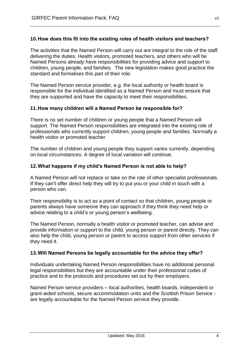# <span id="page-4-0"></span>**10.How does this fit into the existing roles of health visitors and teachers?**

The activities that the Named Person will carry out are integral to the role of the staff delivering the duties. Health visitors, promoted teachers, and others who will be Named Persons already have responsibilities for providing advice and support to children, young people, and families. The new legislation makes good practice the standard and formalises this part of their role.

The Named Person service provider, e.g. the local authority or health board is responsible for the individual identified as a Named Person and must ensure that they are supported and have the capacity to meet their responsibilities.

#### <span id="page-4-1"></span>**11.How many children will a Named Person be responsible for?**

There is no set number of children or young people that a Named Person will support. The Named Person responsibilities are integrated into the existing role of professionals who currently support children, young people and families. Normally a health visitor or promoted teacher.

The number of children and young people they support varies currently, depending on local circumstances. A degree of local variation will continue.

#### <span id="page-4-2"></span>**12.What happens if my child's Named Person is not able to help?**

A Named Person will not replace or take on the role of other specialist professionals. If they can't offer direct help they will try to put you or your child in touch with a person who can.

Their responsibility is to act as a point of contact so that children, young people or parents always have someone they can approach if they think they need help or advice relating to a child's or young person's wellbeing.

The Named Person, normally a health visitor or promoted teacher, can advise and provide information or support to the child, young person or parent directly. They can also help the child, young person or parent to access support from other services if they need it.

#### <span id="page-4-3"></span>**13.Will Named Persons be legally accountable for the advice they offer?**

Individuals undertaking Named Person responsibilities have no additional personal legal responsibilities but they are accountable under their professional codes of practice and to the protocols and procedures set out by their employers.

Named Person service providers – local authorities, health boards, independent or grant-aided schools, secure accommodation units and the Scottish Prison Service are legally accountable for the Named Person service they provide.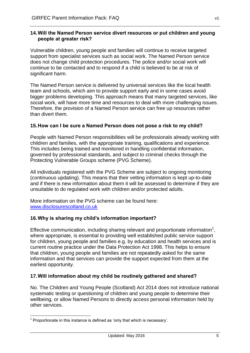#### <span id="page-5-0"></span>**14.Will the Named Person service divert resources or put children and young people at greater risk?**

Vulnerable children, young people and families will continue to receive targeted support from specialist services such as social work. The Named Person service does not change child protection procedures. The police and/or social work will continue to be contacted and to respond if a child is believed to be at risk of significant harm.

The Named Person service is delivered by universal services like the local health team and schools, which aim to provide support early and in some cases avoid bigger problems developing. This approach means that many targeted services, like social work, will have more time and resources to deal with more challenging issues. Therefore, the provision of a Named Person service can free up resources rather than divert them.

# <span id="page-5-1"></span>**15.How can I be sure a Named Person does not pose a risk to my child?**

People with Named Person responsibilities will be professionals already working with children and families, with the appropriate training, qualifications and experience. This includes being trained and monitored in handling confidential information, governed by professional standards, and subject to criminal checks through the Protecting Vulnerable Groups scheme (PVG Scheme).

All individuals registered with the PVG Scheme are subject to ongoing monitoring (continuous updating). This means that their vetting information is kept up-to-date and if there is new information about them it will be assessed to determine if they are unsuitable to do regulated work with children and/or protected adults.

More information on the PVG scheme can be found here: [www.disclosurescotland.co.uk](http://www.disclosurescotland.co.uk/)

#### <span id="page-5-2"></span>**16.Why is sharing my child's information important?**

Effective communication, including sharing relevant and proportionate information<sup>1</sup>, where appropriate, is essential to providing well established public service support for children, young people and families e.g. by education and health services and is current routine practice under the Data Protection Act 1998. This helps to ensure that children, young people and families are not repeatedly asked for the same information and that services can provide the support expected from them at the earliest opportunity.

#### <span id="page-5-3"></span>**17.Will information about my child be routinely gathered and shared?**

No. The Children and Young People (Scotland) Act 2014 does not introduce national systematic testing or questioning of children and young people to determine their wellbeing, or allow Named Persons to directly access personal information held by other services.

1

 $1$  Proportionate in this instance is defined as 'only that which is necessary'.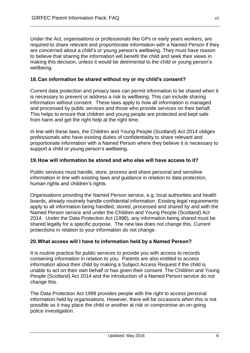Under the Act, organisations or professionals like GPs or early years workers, are required to share relevant and proportionate information with a Named Person if they are concerned about a child's or young person's wellbeing. They must have reason to believe that sharing the information will benefit the child and seek their views in making this decision, unless it would be detrimental to the child or young person's wellbeing.

#### <span id="page-6-0"></span>**18.Can information be shared without my or my child's consent?**

Current data protection and privacy laws can permit information to be shared when it is necessary to prevent or address a risk to wellbeing. This can include sharing information without consent. These laws apply to how all information is managed and processed by public services and those who provide services on their behalf. This helps to ensure that children and young people are protected and kept safe from harm and get the right help at the right time.

In line with these laws, the Children and Young People (Scotland) Act 2014 obliges professionals who have existing duties of confidentiality to share relevant and proportionate information with a Named Person where they believe it is necessary to support a child or young person's wellbeing.

#### <span id="page-6-1"></span>**19.How will information be stored and who else will have access to it?**

Public services must handle, store, process and share personal and sensitive information in line with existing laws and guidance in relation to data protection, human rights and children's rights.

Organisations providing the Named Person service, e.g. local authorities and health boards, already routinely handle confidential information. Existing legal requirements apply to all information being handled, stored, processed and shared by and with the Named Person service and under the Children and Young People (Scotland) Act 2014. Under the Data Protection Act (1998), any information being shared must be shared legally for a specific purpose. The new law does not change this. Current protections in relation to your information do not change.

#### <span id="page-6-2"></span>**20.What access will I have to information held by a Named Person?**

It is routine practice for public services to provide you with access to records containing information in relation to you. Parents are also entitled to access information about their child by making a Subject Access Request if the child is unable to act on their own behalf or has given their consent. The Children and Young People (Scotland) Act 2014 and the introduction of a Named Person service do not change this.

The Data Protection Act 1998 provides people with the right to access personal information held by organisations. However, there will be occasions when this is not possible as it may place the child or another at risk or compromise an on-going police investigation.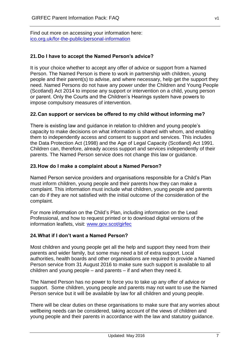Find out more on accessing your information here: ico.org.uk/for-the-public/personal-information

# <span id="page-7-0"></span>**21.Do I have to accept the Named Person's advice?**

It is your choice whether to accept any offer of advice or support from a Named Person. The Named Person is there to work in partnership with children, young people and their parent(s) to advise, and where necessary, help get the support they need. Named Persons do not have any power under the Children and Young People (Scotland) Act 2014 to impose any support or intervention on a child, young person or parent. Only the Courts and the Children's Hearings system have powers to impose compulsory measures of intervention.

#### <span id="page-7-1"></span>**22.Can support or services be offered to my child without informing me?**

There is existing law and guidance in relation to children and young people's capacity to make decisions on what information is shared with whom, and enabling them to independently access and consent to support and services. This includes the Data Protection Act (1998) and the Age of Legal Capacity (Scotland) Act 1991. Children can, therefore, already access support and services independently of their parents. The Named Person service does not change this law or guidance.

#### <span id="page-7-2"></span>**23.How do I make a complaint about a Named Person?**

Named Person service providers and organisations responsible for a Child's Plan must inform children, young people and their parents how they can make a complaint. This information must include what children, young people and parents can do if they are not satisfied with the initial outcome of the consideration of the complaint.

For more information on the Child's Plan, including information on the Lead Professional, and how to request printed or to download digital versions of the information leaflets, visit: [www.gov.scot/girfec](http://www.gov.scot/girfec)

#### <span id="page-7-3"></span>**24.What if I don't want a Named Person?**

Most children and young people get all the help and support they need from their parents and wider family, but some may need a bit of extra support. Local authorities, health boards and other organisations are required to provide a Named Person service from 31 August 2016 to make sure such support is available to all children and young people – and parents – if and when they need it.

The Named Person has no power to force you to take up any offer of advice or support. Some children, young people and parents may not want to use the Named Person service but it will be available by law for all children and young people.

There will be clear duties on these organisations to make sure that any worries about wellbeing needs can be considered, taking account of the views of children and young people and their parents in accordance with the law and statutory guidance.